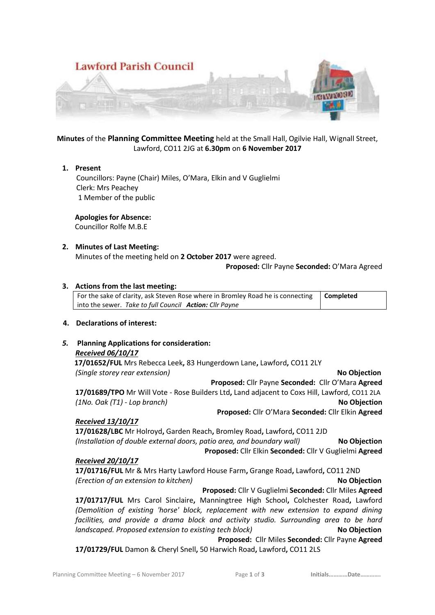

# **Minutes** of the **Planning Committee Meeting** held at the Small Hall, Ogilvie Hall, Wignall Street, Lawford, CO11 2JG at **6.30pm** on **6 November 2017**

#### **1. Present**

 Councillors: Payne (Chair) Miles, O'Mara, Elkin and V Guglielmi Clerk: Mrs Peachey 1 Member of the public

# **Apologies for Absence:**

Councillor Rolfe M.B.E

# **2. Minutes of Last Meeting:**

Minutes of the meeting held on **2 October 2017** were agreed.

#### **Proposed:** Cllr Payne **Seconded:** O'Mara Agreed

# **3. Actions from the last meeting:**

For the sake of clarity, ask Steven Rose where in Bromley Road he is connecting into the sewer. *Take to full Council Action: Cllr Payne* **Completed**

# **4. Declarations of interest:**

# *5.* **Planning Applications for consideration:**

*Received 06/10/17*  **17/01652/FUL** Mrs Rebecca Leek**,** 83 Hungerdown Lane**,** Lawford**,** CO11 2LY *(Single storey rear extension)* **No Objection Proposed:** Cllr Payne **Seconded:** Cllr O'Mara **Agreed 17/01689/TPO** Mr Will Vote - Rose Builders Ltd**,** Land adjacent to Coxs Hill, Lawford, CO11 2LA *(1No. Oak (T1) - Lop branch)* **No Objection Proposed:** Cllr O'Mara **Seconded:** Cllr Elkin **Agreed**

# *Received 13/10/17*

**17/01628/LBC** Mr Holroyd**,** Garden Reach**,** Bromley Road**,** Lawford**,** CO11 2JD *(Installation of double external doors, patio area, and boundary wall)* **No Objection Proposed:** Cllr Elkin **Seconded:** Cllr V Guglielmi **Agreed**

#### *Received 20/10/17*

**17/01716/FUL** Mr & Mrs Harty Lawford House Farm**,** Grange Road**,** Lawford**,** CO11 2ND *(Erection of an extension to kitchen)* **No Objection Proposed:** Cllr V Guglielmi **Seconded:** Cllr Miles **Agreed**

**17/01717/FUL** Mrs Carol Sinclaire**,** Manningtree High School**,** Colchester Road**,** Lawford *(Demolition of existing 'horse' block, replacement with new extension to expand dining facilities, and provide a drama block and activity studio. Surrounding area to be hard landscaped. Proposed extension to existing tech block*) **No Objection Proposed:** Cllr Miles **Seconded:** Cllr Payne **Agreed**

**17/01729/FUL** Damon & Cheryl Snell**,** 50 Harwich Road**,** Lawford**,** CO11 2LS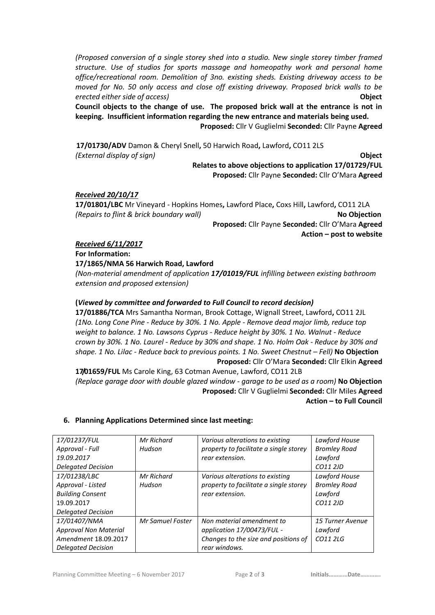*(Proposed conversion of a single storey shed into a studio. New single storey timber framed structure. Use of studios for sports massage and homeopathy work and personal home office/recreational room. Demolition of 3no. existing sheds. Existing driveway access to be moved for No. 50 only access and close off existing driveway. Proposed brick walls to be erected either side of access)* **Object**

**Council objects to the change of use. The proposed brick wall at the entrance is not in keeping. Insufficient information regarding the new entrance and materials being used.**

**Proposed:** Cllr V Guglielmi **Seconded:** Cllr Payne **Agreed**

 **17/01730/ADV** Damon & Cheryl Snell**,** 50 Harwich Road**,** Lawford**,** CO11 2LS *(External display of sign)* **Object Relates to above objections to application 17/01729/FUL**

**Proposed:** Cllr Payne **Seconded:** Cllr O'Mara **Agreed**

# *Received 20/10/17*

**17/01801/LBC** Mr Vineyard - Hopkins Homes**,** Lawford Place**,** Coxs Hill**,** Lawford**,** CO11 2LA *(Repairs to flint & brick boundary wall)* **No Objection Proposed:** Cllr Payne **Seconded:** Cllr O'Mara **Agreed Action – post to website**

*Received 6/11/2017*

**For Information:**

#### **17/1865/NMA 56 Harwich Road, Lawford**

*(Non-material amendment of application 17/01019/FUL infilling between existing bathroom extension and proposed extension)*

# **(***Viewed by committee and forwarded to Full Council to record decision)*

**17/01886/TCA** Mrs Samantha Norman, Brook Cottage, Wignall Street, Lawford**,** CO11 2JL *(1No. Long Cone Pine - Reduce by 30%. 1 No. Apple - Remove dead major limb, reduce top weight to balance. 1 No. Lawsons Cyprus - Reduce height by 30%. 1 No. Walnut - Reduce crown by 30%. 1 No. Laurel - Reduce by 30% and shape. 1 No. Holm Oak - Reduce by 30% and shape. 1 No. Lilac - Reduce back to previous points. 1 No. Sweet Chestnut – Fell)* **No Objection Proposed:** Cllr O'Mara **Seconded:** Cllr Elkin **Agreed**

**17/01659/FUL** Ms Carole King, 63 Cotman Avenue, Lawford, CO11 2LB *(Replace garage door with double glazed window - garage to be used as a room)* **No Objection Proposed:** Cllr V Guglielmi **Seconded:** Cllr Miles **Agreed Action – to Full Council**

# **6. Planning Applications Determined since last meeting:**

| 17/01237/FUL                 | Mr Richard              | Various alterations to existing        | Lawford House       |
|------------------------------|-------------------------|----------------------------------------|---------------------|
| Approval - Full              | Hudson                  | property to facilitate a single storey | <b>Bromley Road</b> |
| 19.09.2017                   |                         | rear extension.                        | Lawford             |
| <b>Delegated Decision</b>    |                         |                                        | CO11 2JD            |
| 17/01238/LBC                 | Mr Richard              | Various alterations to existing        | Lawford House       |
| Approval - Listed            | Hudson                  | property to facilitate a single storey | <b>Bromley Road</b> |
| <b>Building Consent</b>      |                         | rear extension.                        | Lawford             |
| 19.09.2017                   |                         |                                        | CO11 2JD            |
| <b>Delegated Decision</b>    |                         |                                        |                     |
| 17/01407/NMA                 | <b>Mr Samuel Foster</b> | Non material amendment to              | 15 Turner Avenue    |
| <b>Approval Non Material</b> |                         | application 17/00473/FUL -             | Lawford             |
| Amendment 18.09.2017         |                         | Changes to the size and positions of   | CO11 2LG            |
| <b>Delegated Decision</b>    |                         | rear windows.                          |                     |